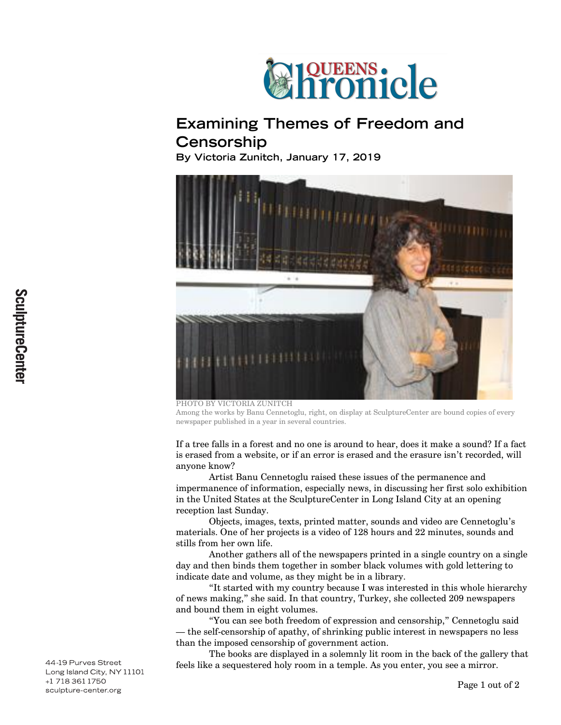

## **Examining Themes of Freedom and Censorship**

**By Victoria Zunitch, January 17, 2019**



PHOTO BY VICTORIA ZUNITCH Among the works by Banu Cennetoglu, right, on display at SculptureCenter are bound copies of every newspaper published in a year in several countries.

If a tree falls in a forest and no one is around to hear, does it make a sound? If a fact is erased from a website, or if an error is erased and the erasure isn't recorded, will anyone know?

Artist Banu Cennetoglu raised these issues of the permanence and impermanence of information, especially news, in discussing her first solo exhibition in the United States at the SculptureCenter in Long Island City at an opening reception last Sunday.

Objects, images, texts, printed matter, sounds and video are Cennetoglu's materials. One of her projects is a video of 128 hours and 22 minutes, sounds and stills from her own life.

Another gathers all of the newspapers printed in a single country on a single day and then binds them together in somber black volumes with gold lettering to indicate date and volume, as they might be in a library.

"It started with my country because I was interested in this whole hierarchy of news making," she said. In that country, Turkey, she collected 209 newspapers and bound them in eight volumes.

"You can see both freedom of expression and censorship," Cennetoglu said — the self-censorship of apathy, of shrinking public interest in newspapers no less than the imposed censorship of government action.

The books are displayed in a solemnly lit room in the back of the gallery that feels like a sequestered holy room in a temple. As you enter, you see a mirror.

44-19 Purves Street Long Island City, NY 11101 +1 718 361 1750 sculpture-center.org